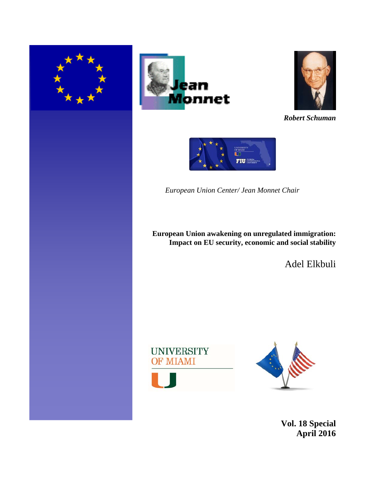





*Robert Schuman*



*European Union Center/ Jean Monnet Chair* 

**European Union awakening on unregulated immigration: Impact on EU security, economic and social stability** 

Adel Elkbuli





**Vol. 18 Special April 2016**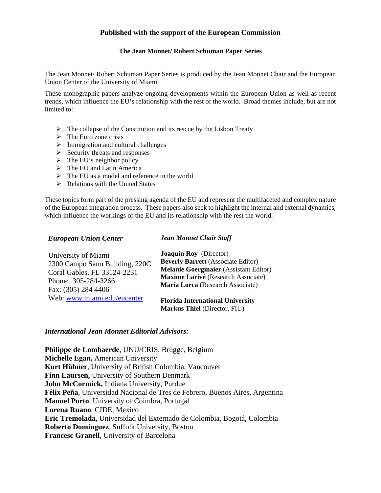### **Published with the support of the European Commission**

#### **The Jean Monnet/ Robert Schuman Paper Series**

The Jean Monnet/ Robert Schuman Paper Series is produced by the Jean Monnet Chair and the European Union Center of the University of Miami.

These monographic papers analyze ongoing developments within the European Union as well as recent trends, which influence the EU's relationship with the rest of the world. Broad themes include, but are not limited to:

- $\triangleright$  The collapse of the Constitution and its rescue by the Lisbon Treaty
- $\triangleright$  The Euro zone crisis
- $\triangleright$  Immigration and cultural challenges
- $\triangleright$  Security threats and responses
- $\triangleright$  The EU's neighbor policy
- $\triangleright$  The EU and Latin America
- $\triangleright$  The EU as a model and reference in the world
- $\triangleright$  Relations with the United States

These topics form part of the pressing agenda of the EU and represent the multifaceted and complex nature of the European integration process. These papers also seek to highlight the internal and external dynamics, which influence the workings of the EU and its relationship with the rest the world.

#### *European Union Center Jean Monnet Chair Staff*

| University of Miami            | <b>Joaquín Roy</b> (Director)                                                  |
|--------------------------------|--------------------------------------------------------------------------------|
| 2300 Campo Sano Building, 220C | <b>Beverly Barrett</b> (Associate Editor)                                      |
| Coral Gables, FL 33124-2231    | <b>Melanie Goergmaier</b> (Assistant Editor)                                   |
| Phone: 305-284-3266            | Maxime Larivé (Research Associate)                                             |
| Fax: (305) 284 4406            | María Lorca (Research Associate)                                               |
| Web: www.miami.edu/eucenter    | <b>Florida International University</b><br><b>Markus Thiel (Director, FIU)</b> |

#### *International Jean Monnet Editorial Advisors:*

**Philippe de Lombaerde**, UNU/CRIS, Brugge, Belgium **Michelle Egan,** American University **Kurt Hübner**, University of British Columbia, Vancouver **Finn Laursen,** University of Southern Denmark **John McCormick,** Indiana University, Purdue **Félix Peña**, Universidad Nacional de Tres de Febrero, Buenos Aires, Argentina **Manuel Porto**, University of Coimbra, Portugal **Lorena Ruano**, CIDE, Mexico **Eric Tremolada**, Universidad del Externado de Colombia, Bogotá, Colombia **Roberto Domínguez**, Suffolk University, Boston **Francesc Granell**, University of Barcelona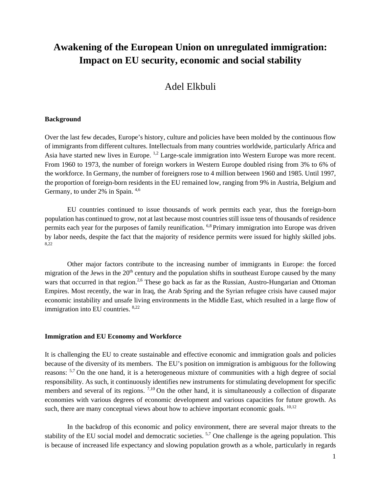# **Awakening of the European Union on unregulated immigration: Impact on EU security, economic and social stability**

## Adel Elkbuli

#### **Background**

Over the last few decades, Europe's history, culture and policies have been molded by the continuous flow of immigrants from different cultures. Intellectuals from many countries worldwide, particularly Africa and Asia have started new lives in Europe.<sup>1,2</sup> Large-scale immigration into Western Europe was more recent. From 1960 to 1973, the number of foreign workers in Western Europe doubled rising from 3% to 6% of the workforce. In Germany, the number of foreigners rose to 4 million between 1960 and 1985. Until 1997, the proportion of foreign-born residents in the EU remained low, ranging from 9% in Austria, Belgium and Germany, to under 2% in Spain.  $4,6$ 

EU countries continued to issue thousands of work permits each year, thus the foreign-born population has continued to grow, not at last because most countries still issue tens of thousands of residence permits each year for the purposes of family reunification. 6,8 Primary immigration into Europe was driven by labor needs, despite the fact that the majority of residence permits were issued for highly skilled jobs. 8,22

Other major factors contribute to the increasing number of immigrants in Europe: the forced migration of the Jews in the  $20<sup>th</sup>$  century and the population shifts in southeast Europe caused by the many wars that occurred in that region.<sup>2,6</sup> These go back as far as the Russian, Austro-Hungarian and Ottoman Empires. Most recently, the war in Iraq, the Arab Spring and the Syrian refugee crisis have caused major economic instability and unsafe living environments in the Middle East, which resulted in a large flow of immigration into EU countries. 8,22

#### **Immigration and EU Economy and Workforce**

It is challenging the EU to create sustainable and effective economic and immigration goals and policies because of the diversity of its members. The EU's position on immigration is ambiguous for the following reasons: 5,7 On the one hand, it is a heterogeneous mixture of communities with a high degree of social responsibility. As such, it continuously identifies new instruments for stimulating development for specific members and several of its regions.  $7,10$  On the other hand, it is simultaneously a collection of disparate economies with various degrees of economic development and various capacities for future growth. As such, there are many conceptual views about how to achieve important economic goals. <sup>10,12</sup>

In the backdrop of this economic and policy environment, there are several major threats to the stability of the EU social model and democratic societies. <sup>5,7</sup> One challenge is the ageing population. This is because of increased life expectancy and slowing population growth as a whole, particularly in regards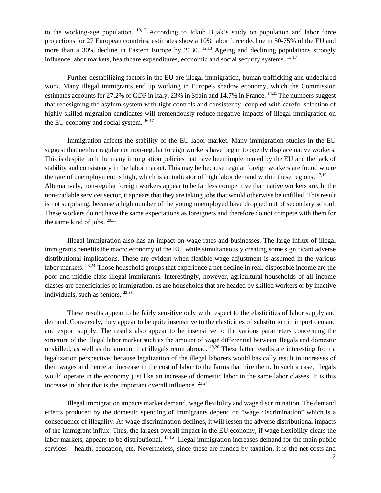to the working-age population.  $10,12$  According to Jckub Bijak's study on population and labor force projections for 27 European countries, estimates show a 10% labor force decline in 50-75% of the EU and more than a 30% decline in Eastern Europe by 2030. <sup>12,13</sup> Ageing and declining populations strongly influence labor markets, healthcare expenditures, economic and social security systems. <sup>13,17</sup>

Further destabilizing factors in the EU are illegal immigration, human trafficking and undeclared work. Many illegal immigrants end up working in Europe's shadow economy, which the Commission estimates accounts for 27.2% of GDP in Italy, 23% in Spain and 14.7% in France. <sup>14,35</sup> The numbers suggest that redesigning the asylum system with tight controls and consistency, coupled with careful selection of highly skilled migration candidates will tremendously reduce negative impacts of illegal immigration on the EU economy and social system.  $16,17$ 

Immigration affects the stability of the EU labor market. Many immigration studies in the EU suggest that neither regular nor non-regular foreign workers have begun to openly displace native workers. This is despite both the many immigration policies that have been implemented by the EU and the lack of stability and consistency in the labor market. This may be because regular foreign workers are found where the rate of unemployment is high, which is an indicator of high labor demand within these regions.  $17,19$ Alternatively, non-regular foreign workers appear to be far less competitive than native workers are. In the non-tradable services sector, it appears that they are taking jobs that would otherwise be unfilled. This result is not surprising, because a high number of the young unemployed have dropped out of secondary school. These workers do not have the same expectations as foreigners and therefore do not compete with them for the same kind of jobs.  $20,35$ 

Illegal immigration also has an impact on wage rates and businesses. The large influx of illegal immigrants benefits the macro economy of the EU, while simultaneously creating some significant adverse distributional implications. These are evident when flexible wage adjustment is assumed in the various labor markets. <sup>23,24</sup> Those household groups that experience a net decline in real, disposable income are the poor and middle-class illegal immigrants. Interestingly, however, agricultural households of all income classes are beneficiaries of immigration, as are households that are headed by skilled workers or by inactive individuals, such as seniors. 23,35

These results appear to be fairly sensitive only with respect to the elasticities of labor supply and demand. Conversely, they appear to be quite insensitive to the elasticities of substitution in import demand and export supply. The results also appear to be insensitive to the various parameters concerning the structure of the illegal labor market such as the amount of wage differential between illegals and domestic unskilled, as well as the amount that illegals remit abroad. <sup>19,20</sup> These latter results are interesting from a legalization perspective, because legalization of the illegal laborers would basically result in increases of their wages and hence an increase in the cost of labor to the farms that hire them. In such a case, illegals would operate in the economy just like an increase of domestic labor in the same labor classes. It is this increase in labor that is the important overall influence.  $23,24$ 

Illegal immigration impacts market demand, wage flexibility and wage discrimination. The demand effects produced by the domestic spending of immigrants depend on "wage discrimination" which is a consequence of illegality. As wage discrimination declines, it will lessen the adverse distributional impacts of the immigrant influx. Thus, the largest overall impact in the EU economy, if wage flexibility clears the labor markets, appears to be distributional. <sup>13,16</sup> Illegal immigration increases demand for the main public services – health, education, etc. Nevertheless, since these are funded by taxation, it is the net costs and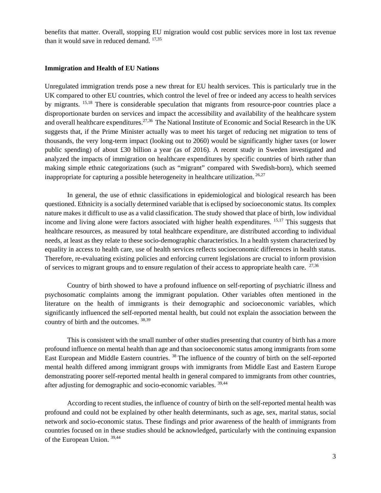benefits that matter. Overall, stopping EU migration would cost public services more in lost tax revenue than it would save in reduced demand.  $17,35$ 

#### **Immigration and Health of EU Nations**

Unregulated immigration trends pose a new threat for EU health services. This is particularly true in the UK compared to other EU countries, which control the level of free or indeed any access to health services by migrants. 15,18 There is considerable speculation that migrants from resource-poor countries place a disproportionate burden on services and impact the accessibility and availability of the healthcare system and overall healthcare expenditures.<sup>27,36</sup> The National Institute of Economic and Social Research in the UK suggests that, if the Prime Minister actually was to meet his target of reducing net migration to tens of thousands, the very long-term impact (looking out to 2060) would be significantly higher taxes (or lower public spending) of about £30 billion a year (as of 2016). A recent study in Sweden investigated and analyzed the impacts of immigration on healthcare expenditures by specific countries of birth rather than making simple ethnic categorizations (such as "migrant" compared with Swedish-born), which seemed inappropriate for capturing a possible heterogeneity in healthcare utilization.  $26,27$ 

In general, the use of ethnic classifications in epidemiological and biological research has been questioned. Ethnicity is a socially determined variable that is eclipsed by socioeconomic status. Its complex nature makes it difficult to use as a valid classification. The study showed that place of birth, low individual income and living alone were factors associated with higher health expenditures. <sup>15,17</sup> This suggests that healthcare resources, as measured by total healthcare expenditure, are distributed according to individual needs, at least as they relate to these socio-demographic characteristics. In a health system characterized by equality in access to health care, use of health services reflects socioeconomic differences in health status. Therefore, re-evaluating existing policies and enforcing current legislations are crucial to inform provision of services to migrant groups and to ensure regulation of their access to appropriate health care.  $27,36$ 

Country of birth showed to have a profound influence on self-reporting of psychiatric illness and psychosomatic complaints among the immigrant population. Other variables often mentioned in the literature on the health of immigrants is their demographic and socioeconomic variables, which significantly influenced the self-reported mental health, but could not explain the association between the country of birth and the outcomes. 38,39

This is consistent with the small number of other studies presenting that country of birth has a more profound influence on mental health than age and than socioeconomic status among immigrants from some East European and Middle Eastern countries. 38 The influence of the country of birth on the self-reported mental health differed among immigrant groups with immigrants from Middle East and Eastern Europe demonstrating poorer self-reported mental health in general compared to immigrants from other countries, after adjusting for demographic and socio-economic variables. 39,44

According to recent studies, the influence of country of birth on the self-reported mental health was profound and could not be explained by other health determinants, such as age, sex, marital status, social network and socio-economic status. These findings and prior awareness of the health of immigrants from countries focused on in these studies should be acknowledged, particularly with the continuing expansion of the European Union. 39,44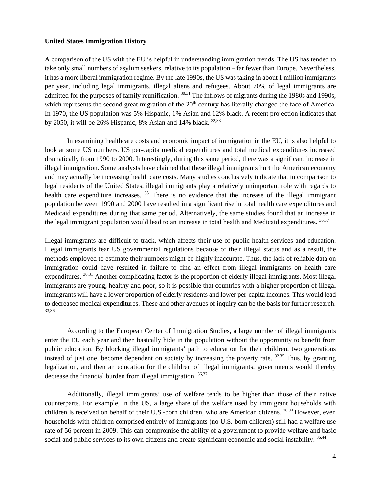#### **United States Immigration History**

A comparison of the US with the EU is helpful in understanding immigration trends. The US has tended to take only small numbers of asylum seekers, relative to its population – far fewer than Europe. Nevertheless, it has a more liberal immigration regime. By the late 1990s, the US was taking in about 1 million immigrants per year, including legal immigrants, illegal aliens and refugees. About 70% of legal immigrants are admitted for the purposes of family reunification. 30,31 The inflows of migrants during the 1980s and 1990s, which represents the second great migration of the  $20<sup>th</sup>$  century has literally changed the face of America. In 1970, the US population was 5% Hispanic, 1% Asian and 12% black. A recent projection indicates that by 2050, it will be 26% Hispanic, 8% Asian and 14% black.  $32,33$ 

In examining healthcare costs and economic impact of immigration in the EU, it is also helpful to look at some US numbers. US per-capita medical expenditures and total medical expenditures increased dramatically from 1990 to 2000. Interestingly, during this same period, there was a significant increase in illegal immigration. Some analysts have claimed that these illegal immigrants hurt the American economy and may actually be increasing health care costs. Many studies conclusively indicate that in comparison to legal residents of the United States, illegal immigrants play a relatively unimportant role with regards to health care expenditure increases. <sup>35</sup> There is no evidence that the increase of the illegal immigrant population between 1990 and 2000 have resulted in a significant rise in total health care expenditures and Medicaid expenditures during that same period. Alternatively, the same studies found that an increase in the legal immigrant population would lead to an increase in total health and Medicaid expenditures. 36,37

Illegal immigrants are difficult to track, which affects their use of public health services and education. Illegal immigrants fear US governmental regulations because of their illegal status and as a result, the methods employed to estimate their numbers might be highly inaccurate. Thus, the lack of reliable data on immigration could have resulted in failure to find an effect from illegal immigrants on health care expenditures. <sup>30,31</sup> Another complicating factor is the proportion of elderly illegal immigrants. Most illegal immigrants are young, healthy and poor, so it is possible that countries with a higher proportion of illegal immigrants will have a lower proportion of elderly residents and lower per-capita incomes. This would lead to decreased medical expenditures. These and other avenues of inquiry can be the basis for further research. 33,36

According to the European Center of Immigration Studies, a large number of illegal immigrants enter the EU each year and then basically hide in the population without the opportunity to benefit from public education. By blocking illegal immigrants' path to education for their children, two generations instead of just one, become dependent on society by increasing the poverty rate.  $32,35$  Thus, by granting legalization, and then an education for the children of illegal immigrants, governments would thereby decrease the financial burden from illegal immigration.  $36,37$ 

Additionally, illegal immigrants' use of welfare tends to be higher than those of their native counterparts. For example, in the US, a large share of the welfare used by immigrant households with children is received on behalf of their U.S.-born children, who are American citizens. 30,34 However, even households with children comprised entirely of immigrants (no U.S.-born children) still had a welfare use rate of 56 percent in 2009. This can compromise the ability of a government to provide welfare and basic social and public services to its own citizens and create significant economic and social instability. 36,44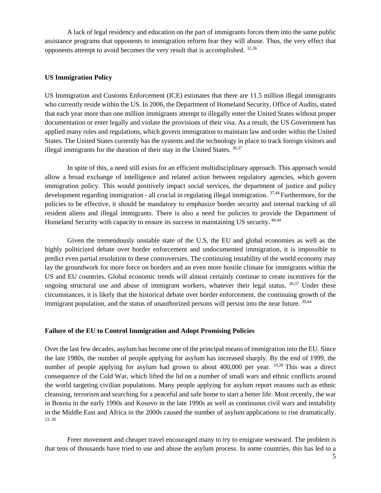A lack of legal residency and education on the part of immigrants forces them into the same public assistance programs that opponents to immigration reform fear they will abuse. Thus, the very effect that opponents attempt to avoid becomes the very result that is accomplished.  $32,36$ 

#### **US Immigration Policy**

US Immigration and Customs Enforcement (ICE) estimates that there are 11.5 million illegal immigrants who currently reside within the US. In 2006, the Department of Homeland Security, Office of Audits, stated that each year more than one million immigrants attempt to illegally enter the United States without proper documentation or enter legally and violate the provisions of their visa. As a result, the US Government has applied many rules and regulations, which govern immigration to maintain law and order within the United States. The United States currently has the systems and the technology in place to track foreign visitors and illegal immigrants for the duration of their stay in the United States.  $36,37$ 

In spite of this, a need still exists for an efficient multidisciplinary approach. This approach would allow a broad exchange of intelligence and related action between regulatory agencies, which govern immigration policy. This would positively impact social services, the department of justice and policy development regarding immigration - all crucial in regulating illegal immigration. <sup>37,44</sup> Furthermore, for the policies to be effective, it should be mandatory to emphasize border security and internal tracking of all resident aliens and illegal immigrants. There is also a need for policies to provide the Department of Homeland Security with capacity to ensure its success in maintaining US security. 40,44

Given the tremendously unstable state of the U.S, the EU and global economies as well as the highly politicized debate over border enforcement and undocumented immigration, it is impossible to predict even partial resolution to these controversies. The continuing instability of the world economy may lay the groundwork for more force on borders and an even more hostile climate for immigrants within the US and EU countries. Global economic trends will almost certainly continue to create incentives for the ongoing structural use and abuse of immigrant workers, whatever their legal status.  $36,37$  Under these circumstances, it is likely that the historical debate over border enforcement, the continuing growth of the immigrant population, and the status of unauthorized persons will persist into the near future. <sup>39,44</sup>

#### **Failure of the EU to Control Immigration and Adopt Promising Policies**

Over the last few decades, asylum has become one of the principal means of immigration into the EU. Since the late 1980s, the number of people applying for asylum has increased sharply. By the end of 1999, the number of people applying for asylum had grown to about 400,000 per year. <sup>19,20</sup> This was a direct consequence of the Cold War, which lifted the lid on a number of small wars and ethnic conflicts around the world targeting civilian populations. Many people applying for asylum report reasons such as ethnic cleansing, terrorism and searching for a peaceful and safe home to start a better life. Most recently, the war in Bosnia in the early 1990s and Kosovo in the late 1990s as well as continuous civil wars and instability in the Middle East and Africa in the 2000s caused the number of asylum applications to rise dramatically. 23, 28

Freer movement and cheaper travel encouraged many to try to emigrate westward. The problem is that tens of thousands have tried to use and abuse the asylum process. In some countries, this has led to a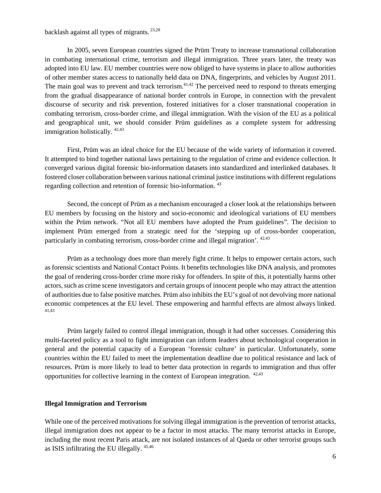#### backlash against all types of migrants. 23,28

In 2005, seven European countries signed the Prüm Treaty to increase transnational collaboration in combating international crime, terrorism and illegal immigration. Three years later, the treaty was adopted into EU law. EU member countries were now obliged to have systems in place to allow authorities of other member states access to nationally held data on DNA, fingerprints, and vehicles by August 2011. The main goal was to prevent and track terrorism.<sup>41,42</sup> The perceived need to respond to threats emerging from the gradual disappearance of national border controls in Europe, in connection with the prevalent discourse of security and risk prevention, fostered initiatives for a closer transnational cooperation in combating terrorism, cross-border crime, and illegal immigration. With the vision of the EU as a political and geographical unit, we should consider Prüm guidelines as a complete system for addressing immigration holistically. 42,43

First, Prüm was an ideal choice for the EU because of the wide variety of information it covered. It attempted to bind together national laws pertaining to the regulation of crime and evidence collection. It converged various digital forensic bio-information datasets into standardized and interlinked databases. It fostered closer collaboration between various national criminal justice institutions with different regulations regarding collection and retention of forensic bio-information. 43

Second, the concept of Prüm as a mechanism encouraged a closer look at the relationships between EU members by focusing on the history and socio-economic and ideological variations of EU members within the Prüm network. "Not all EU members have adopted the Prum guidelines". The decision to implement Prüm emerged from a strategic need for the 'stepping up of cross-border cooperation, particularly in combating terrorism, cross-border crime and illegal migration'. 42,43

Prüm as a technology does more than merely fight crime. It helps to empower certain actors, such as forensic scientists and National Contact Points. It benefits technologies like DNA analysis, and promotes the goal of rendering cross-border crime more risky for offenders. In spite of this, it potentially harms other actors, such as crime scene investigators and certain groups of innocent people who may attract the attention of authorities due to false positive matches. Prüm also inhibits the EU's goal of not devolving more national economic competences at the EU level. These empowering and harmful effects are almost always linked. 41,43

Prüm largely failed to control illegal immigration, though it had other successes. Considering this multi-faceted policy as a tool to fight immigration can inform leaders about technological cooperation in general and the potential capacity of a European 'forensic culture' in particular. Unfortunately, some countries within the EU failed to meet the implementation deadline due to political resistance and lack of resources. Prüm is more likely to lead to better data protection in regards to immigration and thus offer opportunities for collective learning in the context of European integration. 42,43

#### **Illegal Immigration and Terrorism**

While one of the perceived motivations for solving illegal immigration is the prevention of terrorist attacks, illegal immigration does not appear to be a factor in most attacks. The many terrorist attacks in Europe, including the most recent Paris attack, are not isolated instances of al Qaeda or other terrorist groups such as ISIS infiltrating the EU illegally. 45,46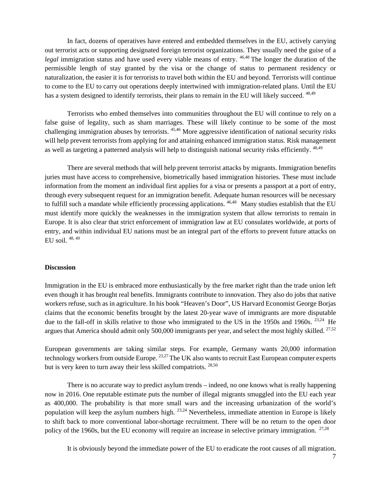In fact, dozens of operatives have entered and embedded themselves in the EU, actively carrying out terrorist acts or supporting designated foreign terrorist organizations. They usually need the guise of a *legal* immigration status and have used every viable means of entry. <sup>46,48</sup> The longer the duration of the permissible length of stay granted by the visa or the change of status to permanent residency or naturalization, the easier it is for terrorists to travel both within the EU and beyond. Terrorists will continue to come to the EU to carry out operations deeply intertwined with immigration-related plans. Until the EU has a system designed to identify terrorists, their plans to remain in the EU will likely succeed. <sup>48,49</sup>

Terrorists who embed themselves into communities throughout the EU will continue to rely on a false guise of legality, such as sham marriages. These will likely continue to be some of the most challenging immigration abuses by terrorists. 45,46 More aggressive identification of national security risks will help prevent terrorists from applying for and attaining enhanced immigration status. Risk management as well as targeting a patterned analysis will help to distinguish national security risks efficiently. 48,49

There are several methods that will help prevent terrorist attacks by migrants. Immigration benefits juries must have access to comprehensive, biometrically based immigration histories. These must include information from the moment an individual first applies for a visa or presents a passport at a port of entry, through every subsequent request for an immigration benefit. Adequate human resources will be necessary to fulfill such a mandate while efficiently processing applications. <sup>46,48</sup> Many studies establish that the EU must identify more quickly the weaknesses in the immigration system that allow terrorists to remain in Europe. It is also clear that strict enforcement of immigration law at EU consulates worldwide, at ports of entry, and within individual EU nations must be an integral part of the efforts to prevent future attacks on EU soil. 48, 49

#### **Discussion**

Immigration in the EU is embraced more enthusiastically by the free market right than the trade union left even though it has brought real benefits. Immigrants contribute to innovation. They also do jobs that native workers refuse, such as in agriculture. In his book "Heaven's Door", US Harvard Economist George Borjas claims that the economic benefits brought by the latest 20-year wave of immigrants are more disputable due to the fall-off in skills relative to those who immigrated to the US in the 1950s and 1960s. <sup>23,24</sup> He argues that America should admit only 500,000 immigrants per year, and select the most highly skilled.  $27.52$ 

European governments are taking similar steps. For example, Germany wants 20,000 information technology workers from outside Europe. <sup>23,27</sup> The UK also wants to recruit East European computer experts but is very keen to turn away their less skilled compatriots. 28,50

There is no accurate way to predict asylum trends – indeed, no one knows what is really happening now in 2016. One reputable estimate puts the number of illegal migrants smuggled into the EU each year as 400,000. The probability is that more small wars and the increasing urbanization of the world's population will keep the asylum numbers high.  $23,24$  Nevertheless, immediate attention in Europe is likely to shift back to more conventional labor-shortage recruitment. There will be no return to the open door policy of the 1960s, but the EU economy will require an increase in selective primary immigration. <sup>27,28</sup>

It is obviously beyond the immediate power of the EU to eradicate the root causes of all migration.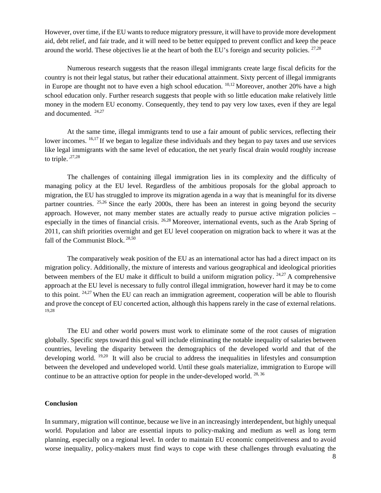However, over time, if the EU wants to reduce migratory pressure, it will have to provide more development aid, debt relief, and fair trade, and it will need to be better equipped to prevent conflict and keep the peace around the world. These objectives lie at the heart of both the EU's foreign and security policies. <sup>27,28</sup>

Numerous research suggests that the reason illegal immigrants create large fiscal deficits for the country is not their legal status, but rather their educational attainment. Sixty percent of illegal immigrants in Europe are thought not to have even a high school education.  $10,12$  Moreover, another 20% have a high school education only. Further research suggests that people with so little education make relatively little money in the modern EU economy. Consequently, they tend to pay very low taxes, even if they are legal and documented. 24,27

At the same time, illegal immigrants tend to use a fair amount of public services, reflecting their lower incomes. <sup>16,17</sup> If we began to legalize these individuals and they began to pay taxes and use services like legal immigrants with the same level of education, the net yearly fiscal drain would roughly increase to triple. $,27,28$ 

The challenges of containing illegal immigration lies in its complexity and the difficulty of managing policy at the EU level. Regardless of the ambitious proposals for the global approach to migration, the EU has struggled to improve its migration agenda in a way that is meaningful for its diverse partner countries.  $25,26$  Since the early 2000s, there has been an interest in going beyond the security approach. However, not many member states are actually ready to pursue active migration policies – especially in the times of financial crisis. 26,28 Moreover, international events, such as the Arab Spring of 2011, can shift priorities overnight and get EU level cooperation on migration back to where it was at the fall of the Communist Block. 28,50

The comparatively weak position of the EU as an international actor has had a direct impact on its migration policy. Additionally, the mixture of interests and various geographical and ideological priorities between members of the EU make it difficult to build a uniform migration policy.  $24.27$  A comprehensive approach at the EU level is necessary to fully control illegal immigration, however hard it may be to come to this point. 24,27 When the EU can reach an immigration agreement, cooperation will be able to flourish and prove the concept of EU concerted action, although this happens rarely in the case of external relations. 19,28

The EU and other world powers must work to eliminate some of the root causes of migration globally. Specific steps toward this goal will include eliminating the notable inequality of salaries between countries, leveling the disparity between the demographics of the developed world and that of the developing world. <sup>19,20</sup> It will also be crucial to address the inequalities in lifestyles and consumption between the developed and undeveloped world. Until these goals materialize, immigration to Europe will continue to be an attractive option for people in the under-developed world.  $28,36$ 

#### **Conclusion**

In summary, migration will continue, because we live in an increasingly interdependent, but highly unequal world. Population and labor are essential inputs to policy-making and medium as well as long term planning, especially on a regional level. In order to maintain EU economic competitiveness and to avoid worse inequality, policy-makers must find ways to cope with these challenges through evaluating the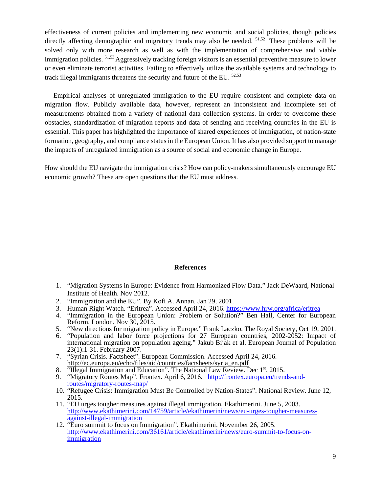effectiveness of current policies and implementing new economic and social policies, though policies directly affecting demographic and migratory trends may also be needed. <sup>51,52</sup> These problems will be solved only with more research as well as with the implementation of comprehensive and viable immigration policies. 51,53 Aggressively tracking foreign visitors is an essential preventive measure to lower or even eliminate terrorist activities. Failing to effectively utilize the available systems and technology to track illegal immigrants threatens the security and future of the EU.  $52,53$ 

 Empirical analyses of unregulated immigration to the EU require consistent and complete data on migration flow. Publicly available data, however, represent an inconsistent and incomplete set of measurements obtained from a variety of national data collection systems. In order to overcome these obstacles, standardization of migration reports and data of sending and receiving countries in the EU is essential. This paper has highlighted the importance of shared experiences of immigration, of nation-state formation, geography, and compliance status in the European Union. It has also provided support to manage the impacts of unregulated immigration as a source of social and economic change in Europe.

How should the EU navigate the immigration crisis? How can policy-makers simultaneously encourage EU economic growth? These are open questions that the EU must address.

#### **References**

- 1. "Migration Systems in Europe: Evidence from Harmonized Flow Data." Jack DeWaard, National Institute of Health. Nov 2012.
- 
- 2. "Immigration and the EU". By Kofi A. Annan. Jan 29, 2001.<br>3. Human Right Watch. "Eritrea". Accessed April 24, 2016. https://www.hrw.org/africa/eritrea
- 4. "Immigration in the European Union: Problem or Solution?" Ben Hall, Center for European Reform. London. Nov 30, 2015.
- 5. "New directions for migration policy in Europe." Frank Laczko. The Royal Society, Oct 19, 2001.
- 6. "Population and labor force projections for 27 European countries, 2002-2052: Impact of international migration on population ageing." Jakub Bijak et al. European Journal of Population 23(1):1-31. February 2007.
- 7. "Syrian Crisis. Factsheet". European Commission. Accessed April 24, 2016. http://ec.europa.eu/echo/files/aid/countries/factsheets/syria\_en.pdf
- 8. "Illegal Immigration and Education". The National Law Review. Dec 1<sup>st</sup>, 2015.
- 9. "Migratory Routes Map". Frontex. April 6, 2016. http://frontex.europa.eu/trends-androutes/migratory-routes-map/
- 10. "Refugee Crisis: Immigration Must Be Controlled by Nation-States". National Review. June 12, 2015.
- 11. "EU urges tougher measures against illegal immigration. Ekathimerini. June 5, 2003. http://www.ekathimerini.com/14759/article/ekathimerini/news/eu-urges-tougher-measures-
- 12. "Euro summit to focus on Immigration". Ekathimerini. November 26, 2005. http://www.ekathimerini.com/36161/article/ekathimerini/news/euro-summit-to-focus-onimmigration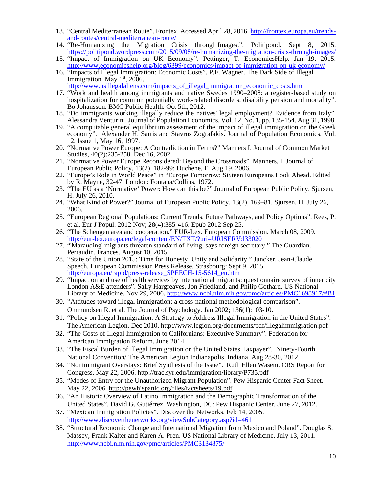- 13. "Central Mediterranean Route". Frontex. Accessed April 28, 2016. http://frontex.europa.eu/trendsand-routes/central-mediterranean-route/
- 14. "Re-Humanizing the Migration Crisis through Images.". Politipond. Sept 8, 2015.<br>https://politipond.wordpress.com/2015/09/08/re-humanizing-the-migration-crisis-through-images/
- 15. "Impact of Immigration on UK Economy". Pettinger, T. EconomicsHelp. Jan 19, 2015.<br>http://www.economicshelp.org/blog/6399/economics/impact-of-immigration-on-uk-economy/
- 16. "Impacts of Illegal Immigration: Economic Costs". P.F. Wagner. The Dark Side of Illegal Immigration. May 1<sup>st</sup>, 2006.<br>http://www.usillegalaliens.com/impacts\_of\_illegal\_immigration\_economic\_costs.html

- 17. "Work and health among immigrants and native Swedes 1990–2008: a register-based study on hospitalization for common potentially work-related disorders, disability pension and mortality". Bo Johansson. BMC Public Health. Oct 5th, 2012.
- 18. "Do immigrants working illegally reduce the natives' legal employment? Evidence from Italy". Alessandra Venturini. Journal of Population Economics, Vol. 12, No. 1, pp. 135-154. Aug 31, 1998.
- 19. "A computable general equilibrium assessment of the impact of illegal immigration on the Greek economy". Alexander H. Sarris and Stavros Zografakis. Journal of Population Economics, Vol. 12, Issue 1, May 16, 1997.
- 20. "Normative Power Europe: A Contradiction in Terms?" Manners I. Journal of Common Market Studies, 40(2):235-258. Dec 16, 2002.
- 21. "Normative Power Europe Reconsidered: Beyond the Crossroads". Manners, I. Journal of European Public Policy, 13(2), 182-99; Duchene, F. Aug 19, 2006.
- 22. "Europe's Role in World Peace" in "Europe Tomorrow: Sixteen Europeans Look Ahead. Edited by R. Mayne, 32-47. London: Fontana/Collins, 1972.
- 23. "The EU as a 'Normative' Power: How can this be?" Journal of European Public Policy. Sjursen, H. July 26, 2010.
- 24. "What Kind of Power?" Journal of European Public Policy, 13(2), 169–81. Sjursen, H. July 26, 2006.
- 25. "European Regional Populations: Current Trends, Future Pathways, and Policy Options". Rees, P. et al. Eur J Popul. 2012 Nov; 28(4):385-416. Epub 2012 Sep 25.
- 26. "The Schengen area and cooperation." EUR-Lex. European Commission. March 08, 2009.<br>http://eur-lex.europa.eu/legal-content/EN/TXT/?uri=URISERV:133020
- 27. "Marauding' migrants threaten standard of living, says foreign secretary." The Guardian. Perraudin, Frances. August 10, 2015.
- 28. "State of the Union 2015: Time for Honesty, Unity and Solidarity." Juncker, Jean-Claude. Speech, European Commission Press Release. Strasbourg: Sept 9, 2015.
- http://europa.eu/rapid/press-release\_SPEECH-15-5614\_en.htm 29. "Impact on and use of health services by international migrants: questionnaire survey of inner city London A&E attenders". Sally Hargreaves, Jon Friedland, and Philip Gothard. US National Library of Medicine. Nov 29, 2006. http://www.ncbi.nlm.nih.gov/pmc/articles/PMC1698917/#B1
- 30. "Attitudes toward illegal immigration: a cross-national methodological comparison". Ommundsen R. et al. The Journal of Psychology. Jan 2002; 136(1):103-10.
- 31. "Policy on Illegal Immigration: A Strategy to Address Illegal Immigration in the United States". The American Legion. Dec 2010. http://www.legion.org/documents/pdf/illegalimmigration.pdf
- 32. "The Costs of Illegal Immigration to Californians: Executive Summary". Federation for American Immigration Reform. June 2014.
- 33. "The Fiscal Burden of Illegal Immigration on the United States Taxpayer". Ninety-Fourth National Convention/ The American Legion Indianapolis, Indiana. Aug 28-30, 2012.
- 34. "Nonimmigrant Overstays: Brief Synthesis of the Issue". Ruth Ellen Wasem. CRS Report for Congress. May 22, 2006. http://trac.syr.edu/immigration/library/P735.pdf
- 35. "Modes of Entry for the Unauthorized Migrant Population". Pew Hispanic Center Fact Sheet. May 22, 2006. http://pewhispanic.org/files/factsheets/19.pdf
- 36. "An Historic Overview of Latino Immigration and the Demographic Transformation of the United States". David G. Gutiérrez. Washington, DC: Pew Hispanic Center. June 27, 2012.
- 37. "Mexican Immigration Policies". Discover the Networks. Feb 14, 2005. http://www.discoverthenetworks.org/viewSubCategory.asp?id=461
- 38. "Structural Economic Change and International Migration from Mexico and Poland". Douglas S. Massey, Frank Kalter and Karen A. Pren. US National Library of Medicine. July 13, 2011. http://www.ncbi.nlm.nih.gov/pmc/articles/PMC3134875/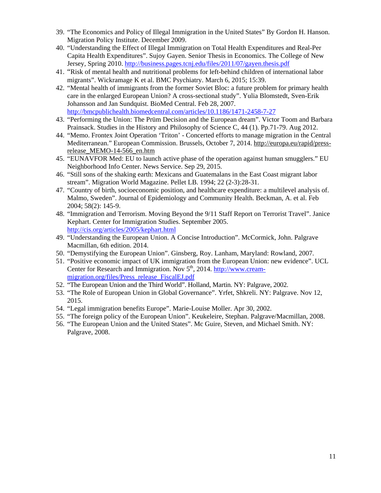- 39. "The Economics and Policy of Illegal Immigration in the United States" By Gordon H. Hanson. Migration Policy Institute. December 2009.
- 40. "Understanding the Effect of Illegal Immigration on Total Health Expenditures and Real-Per Capita Health Expenditures". Sujoy Gayen. Senior Thesis in Economics. The College of New Jersey, Spring 2010. http://business.pages.tcnj.edu/files/2011/07/gayen.thesis.pdf
- 41. "Risk of mental health and nutritional problems for left-behind children of international labor migrants". Wickramage K et al. BMC Psychiatry. March 6, 2015; 15:39.
- 42. "Mental health of immigrants from the former Soviet Bloc: a future problem for primary health care in the enlarged European Union? A cross-sectional study". Yulia Blomstedt, Sven-Erik Johansson and Jan Sundquist. BioMed Central. Feb 28, 2007. http://bmcpublichealth.biomedcentral.com/articles/10.1186/1471-2458-7-27
- 43. "Performing the Union: The Prüm Decision and the European dream". Victor Toom and Barbara Prainsack. Studies in the History and Philosophy of Science C, 44 (1). Pp.71-79. Aug 2012.
- 44. "Memo. Frontex Joint Operation 'Triton' Concerted efforts to manage migration in the Central Mediterranean." European Commission. Brussels, October 7, 2014. http://europa.eu/rapid/pressrelease\_MEMO-14-566\_en.htm
- 45. "EUNAVFOR Med: EU to launch active phase of the operation against human smugglers." EU Neighborhood Info Center. News Service. Sep 29, 2015.
- 46. "Still sons of the shaking earth: Mexicans and Guatemalans in the East Coast migrant labor stream". Migration World Magazine. Pellet LB. 1994; 22 (2-3):28-31.
- 47. "Country of birth, socioeconomic position, and healthcare expenditure: a multilevel analysis of. Malmo, Sweden". Journal of Epidemiology and Community Health. Beckman, A. et al. Feb 2004; 58(2): 145-9.
- 48. "Immigration and Terrorism. Moving Beyond the 9/11 Staff Report on Terrorist Travel". Janice Kephart. Center for Immigration Studies. September 2005. http://cis.org/articles/2005/kephart.html
- 49. "Understanding the European Union. A Concise Introduction". McCormick, John. Palgrave Macmillan, 6th edition. 2014.
- 50. "Demystifying the European Union". Ginsberg, Roy. Lanham, Maryland: Rowland, 2007.
- 51. "Positive economic impact of UK immigration from the European Union: new evidence". UCL Center for Research and Immigration. Nov 5<sup>th</sup>, 2014. http://www.creammigration.org/files/Press\_release\_FiscalEJ.pdf
- 52. "The European Union and the Third World". Holland, Martin. NY: Palgrave, 2002.
- 53. "The Role of European Union in Global Governance". Yrfet, Shkreli. NY: Palgrave. Nov 12, 2015.
- 54. "Legal immigration benefits Europe". Marie-Louise Moller. Apr 30, 2002.
- 55. "The foreign policy of the European Union". Keukeleire, Stephan. Palgrave/Macmillan, 2008.
- 56. "The European Union and the United States". Mc Guire, Steven, and Michael Smith. NY: Palgrave, 2008.